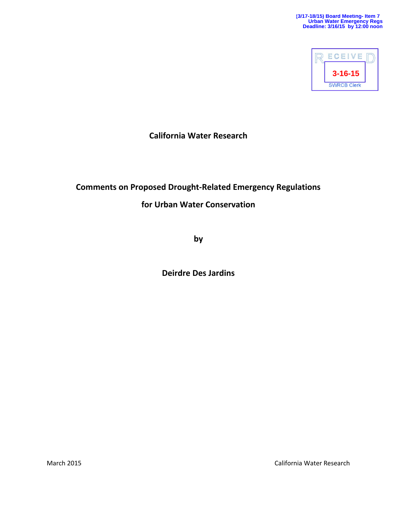

**California Water Research**

# **Comments on Proposed Drought-Related Emergency Regulations**

## **for Urban Water Conservation**

**by**

**Deirdre Des Jardins**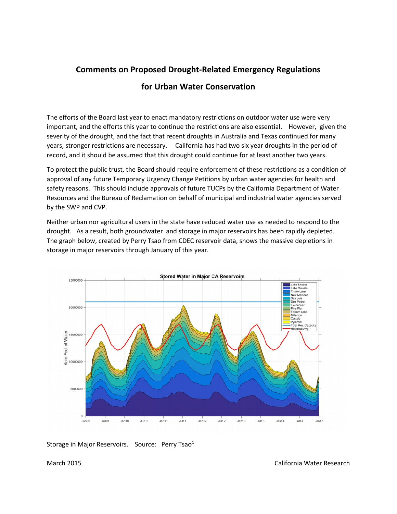## **Comments on Proposed Drought-Related Emergency Regulations**

#### **for Urban Water Conservation**

The efforts of the Board last year to enact mandatory restrictions on outdoor water use were very important, and the efforts this year to continue the restrictions are also essential. However, given the severity of the drought, and the fact that recent droughts in Australia and Texas continued for many years, stronger restrictions are necessary. California has had two six year droughts in the period of record, and it should be assumed that this drought could continue for at least another two years.

To protect the public trust, the Board should require enforcement of these restrictions as a condition of approval of any future Temporary Urgency Change Petitions by urban water agencies for health and safety reasons. This should include approvals of future TUCPs by the California Department of Water Resources and the Bureau of Reclamation on behalf of municipal and industrial water agencies served by the SWP and CVP.

Neither urban nor agricultural users in the state have reduced water use as needed to respond to the drought. As a result, both groundwater and storage in major reservoirs has been rapidly depleted. The graph below, created by Perry Tsao from CDEC reservoir data, shows the massive depletions in storage in major reservoirs through January of this year.



Storage in Major Reservoirs. Source: Perry Tsao $<sup>1</sup>$  $<sup>1</sup>$  $<sup>1</sup>$ </sup>

March 2015 California Water Research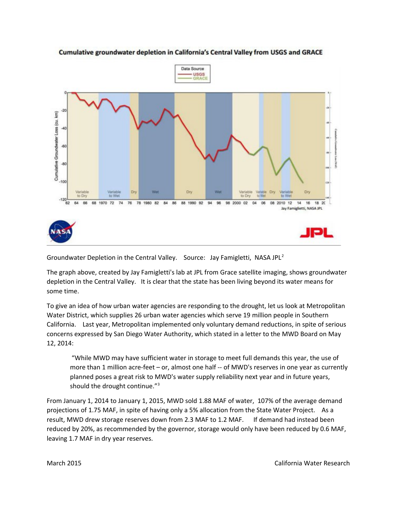

#### Cumulative groundwater depletion in California's Central Valley from USGS and GRACE

Groundwater Depletion in the Central Valley. Source: Jay Famigletti, NASA JPL<sup>[2](#page-5-1)</sup>

The graph above, created by Jay Famigletti's lab at JPL from Grace satellite imaging, shows groundwater depletion in the Central Valley. It is clear that the state has been living beyond its water means for some time.

To give an idea of how urban water agencies are responding to the drought, let us look at Metropolitan Water District, which supplies 26 urban water agencies which serve 19 million people in Southern California. Last year, Metropolitan implemented only voluntary demand reductions, in spite of serious concerns expressed by San Diego Water Authority, which stated in a letter to the MWD Board on May 12, 2014:

 "While MWD may have sufficient water in storage to meet full demands this year, the use of more than 1 million acre-feet – or, almost one half -- of MWD's reserves in one year as currently planned poses a great risk to MWD's water supply reliability next year and in future years, should the drought continue."<sup>[3](#page-5-2)</sup>

From January 1, 2014 to January 1, 2015, MWD sold 1.88 MAF of water, 107% of the average demand projections of 1.75 MAF, in spite of having only a 5% allocation from the State Water Project. As a result, MWD drew storage reserves down from 2.3 MAF to 1.2 MAF. If demand had instead been reduced by 20%, as recommended by the governor, storage would only have been reduced by 0.6 MAF, leaving 1.7 MAF in dry year reserves.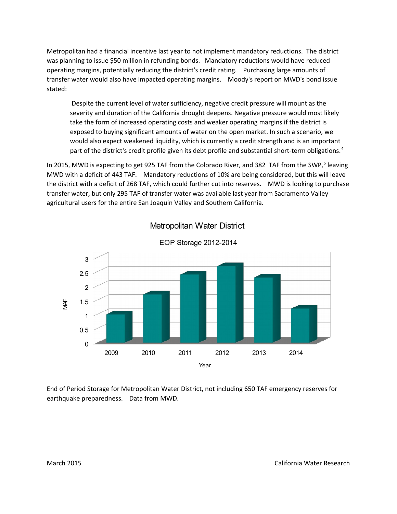Metropolitan had a financial incentive last year to not implement mandatory reductions. The district was planning to issue \$50 million in refunding bonds. Mandatory reductions would have reduced operating margins, potentially reducing the district's credit rating. Purchasing large amounts of transfer water would also have impacted operating margins. Moody's report on MWD's bond issue stated:

 Despite the current level of water sufficiency, negative credit pressure will mount as the severity and duration of the California drought deepens. Negative pressure would most likely take the form of increased operating costs and weaker operating margins if the district is exposed to buying significant amounts of water on the open market. In such a scenario, we would also expect weakened liquidity, which is currently a credit strength and is an important part of the district's credit profile given its debt profile and substantial short-term obligations.<sup>[4](#page-5-3)</sup>

In 201[5](#page-5-4), MWD is expecting to get 925 TAF from the Colorado River, and 382 TAF from the SWP,<sup>5</sup> leaving MWD with a deficit of 443 TAF. Mandatory reductions of 10% are being considered, but this will leave the district with a deficit of 268 TAF, which could further cut into reserves. MWD is looking to purchase transfer water, but only 295 TAF of transfer water was available last year from Sacramento Valley agricultural users for the entire San Joaquin Valley and Southern California.



Metropolitan Water District

End of Period Storage for Metropolitan Water District, not including 650 TAF emergency reserves for earthquake preparedness. Data from MWD.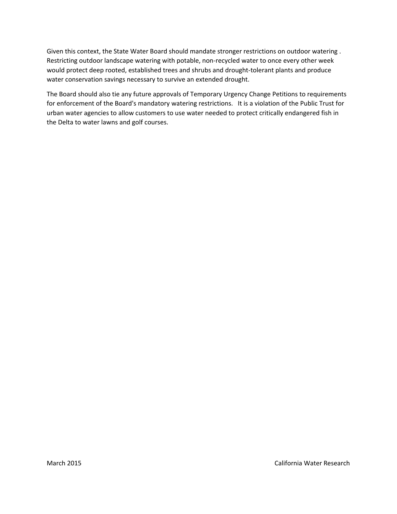Given this context, the State Water Board should mandate stronger restrictions on outdoor watering . Restricting outdoor landscape watering with potable, non-recycled water to once every other week would protect deep rooted, established trees and shrubs and drought-tolerant plants and produce water conservation savings necessary to survive an extended drought.

The Board should also tie any future approvals of Temporary Urgency Change Petitions to requirements for enforcement of the Board's mandatory watering restrictions. It is a violation of the Public Trust for urban water agencies to allow customers to use water needed to protect critically endangered fish in the Delta to water lawns and golf courses.